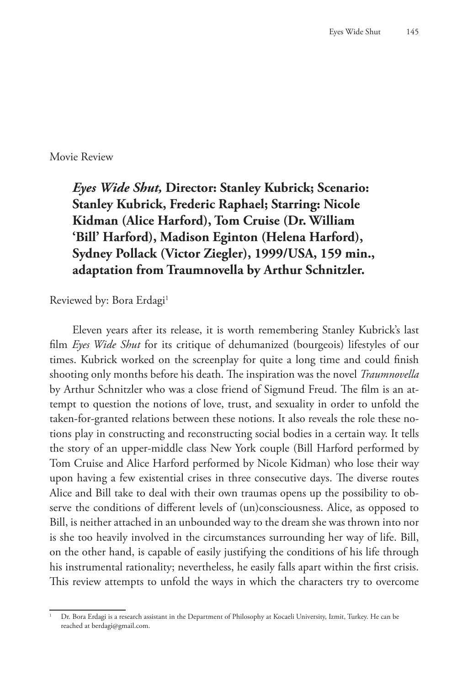Movie Review

*Eyes Wide Shut,* **Director: Stanley Kubrick; Scenario: Stanley Kubrick, Frederic Raphael; Starring: Nicole Kidman (Alice Harford), Tom Cruise (Dr. William 'Bill' Harford), Madison Eginton (Helena Harford), Sydney Pollack (Victor Ziegler), 1999/USA, 159 min., adaptation from Traumnovella by Arthur Schnitzler.**

Reviewed by: Bora Erdagi<sup>1</sup>

Eleven years after its release, it is worth remembering Stanley Kubrick's last film *Eyes Wide Shut* for its critique of dehumanized (bourgeois) lifestyles of our times. Kubrick worked on the screenplay for quite a long time and could finish shooting only months before his death. The inspiration was the novel *Traumnovella* by Arthur Schnitzler who was a close friend of Sigmund Freud. The film is an attempt to question the notions of love, trust, and sexuality in order to unfold the taken-for-granted relations between these notions. It also reveals the role these notions play in constructing and reconstructing social bodies in a certain way. It tells the story of an upper-middle class New York couple (Bill Harford performed by Tom Cruise and Alice Harford performed by Nicole Kidman) who lose their way upon having a few existential crises in three consecutive days. The diverse routes Alice and Bill take to deal with their own traumas opens up the possibility to observe the conditions of different levels of (un)consciousness. Alice, as opposed to Bill, is neither attached in an unbounded way to the dream she was thrown into nor is she too heavily involved in the circumstances surrounding her way of life. Bill, on the other hand, is capable of easily justifying the conditions of his life through his instrumental rationality; nevertheless, he easily falls apart within the first crisis. This review attempts to unfold the ways in which the characters try to overcome

<sup>1</sup> Dr. Bora Erdagi is a research assistant in the Department of Philosophy at Kocaeli University, Izmit, Turkey. He can be reached at berdagi@gmail.com.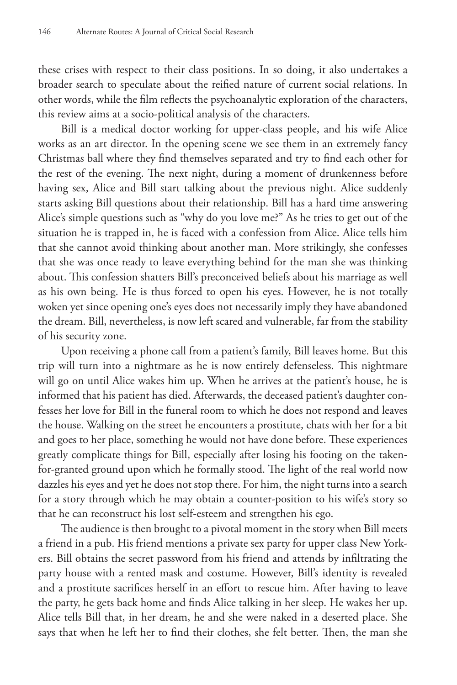these crises with respect to their class positions. In so doing, it also undertakes a broader search to speculate about the reified nature of current social relations. In other words, while the film reflects the psychoanalytic exploration of the characters, this review aims at a socio-political analysis of the characters.

Bill is a medical doctor working for upper-class people, and his wife Alice works as an art director. In the opening scene we see them in an extremely fancy Christmas ball where they find themselves separated and try to find each other for the rest of the evening. The next night, during a moment of drunkenness before having sex, Alice and Bill start talking about the previous night. Alice suddenly starts asking Bill questions about their relationship. Bill has a hard time answering Alice's simple questions such as "why do you love me?" As he tries to get out of the situation he is trapped in, he is faced with a confession from Alice. Alice tells him that she cannot avoid thinking about another man. More strikingly, she confesses that she was once ready to leave everything behind for the man she was thinking about. This confession shatters Bill's preconceived beliefs about his marriage as well as his own being. He is thus forced to open his eyes. However, he is not totally woken yet since opening one's eyes does not necessarily imply they have abandoned the dream. Bill, nevertheless, is now left scared and vulnerable, far from the stability of his security zone.

Upon receiving a phone call from a patient's family, Bill leaves home. But this trip will turn into a nightmare as he is now entirely defenseless. This nightmare will go on until Alice wakes him up. When he arrives at the patient's house, he is informed that his patient has died. Afterwards, the deceased patient's daughter confesses her love for Bill in the funeral room to which he does not respond and leaves the house. Walking on the street he encounters a prostitute, chats with her for a bit and goes to her place, something he would not have done before. These experiences greatly complicate things for Bill, especially after losing his footing on the takenfor-granted ground upon which he formally stood. The light of the real world now dazzles his eyes and yet he does not stop there. For him, the night turns into a search for a story through which he may obtain a counter-position to his wife's story so that he can reconstruct his lost self-esteem and strengthen his ego.

The audience is then brought to a pivotal moment in the story when Bill meets a friend in a pub. His friend mentions a private sex party for upper class New Yorkers. Bill obtains the secret password from his friend and attends by infiltrating the party house with a rented mask and costume. However, Bill's identity is revealed and a prostitute sacrifices herself in an effort to rescue him. After having to leave the party, he gets back home and finds Alice talking in her sleep. He wakes her up. Alice tells Bill that, in her dream, he and she were naked in a deserted place. She says that when he left her to find their clothes, she felt better. Then, the man she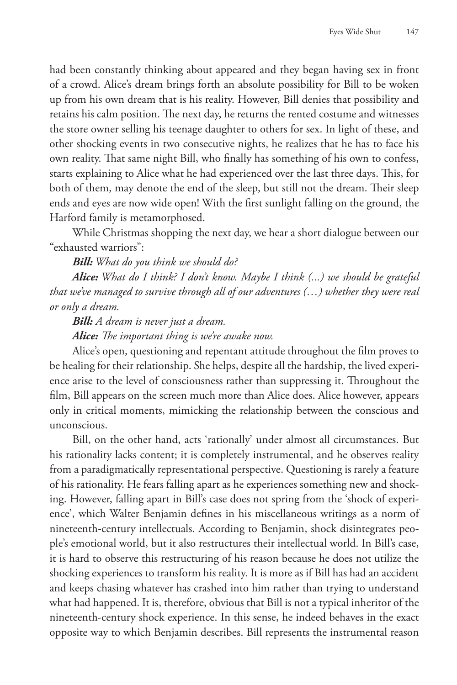had been constantly thinking about appeared and they began having sex in front of a crowd. Alice's dream brings forth an absolute possibility for Bill to be woken up from his own dream that is his reality. However, Bill denies that possibility and retains his calm position. The next day, he returns the rented costume and witnesses the store owner selling his teenage daughter to others for sex. In light of these, and other shocking events in two consecutive nights, he realizes that he has to face his own reality. That same night Bill, who finally has something of his own to confess, starts explaining to Alice what he had experienced over the last three days. This, for both of them, may denote the end of the sleep, but still not the dream. Their sleep ends and eyes are now wide open! With the first sunlight falling on the ground, the Harford family is metamorphosed.

While Christmas shopping the next day, we hear a short dialogue between our "exhausted warriors":

*Bill: What do you think we should do?*

*Alice: What do I think? I don't know. Maybe I think (...) we should be grateful that we've managed to survive through all of our adventures (…) whether they were real or only a dream.*

*Bill: A dream is never just a dream.*

*Alice: The important thing is we're awake now.*

Alice's open, questioning and repentant attitude throughout the film proves to be healing for their relationship. She helps, despite all the hardship, the lived experience arise to the level of consciousness rather than suppressing it. Throughout the film, Bill appears on the screen much more than Alice does. Alice however, appears only in critical moments, mimicking the relationship between the conscious and unconscious.

Bill, on the other hand, acts 'rationally' under almost all circumstances. But his rationality lacks content; it is completely instrumental, and he observes reality from a paradigmatically representational perspective. Questioning is rarely a feature of his rationality. He fears falling apart as he experiences something new and shocking. However, falling apart in Bill's case does not spring from the 'shock of experience', which Walter Benjamin defines in his miscellaneous writings as a norm of nineteenth-century intellectuals. According to Benjamin, shock disintegrates people's emotional world, but it also restructures their intellectual world. In Bill's case, it is hard to observe this restructuring of his reason because he does not utilize the shocking experiences to transform his reality. It is more as if Bill has had an accident and keeps chasing whatever has crashed into him rather than trying to understand what had happened. It is, therefore, obvious that Bill is not a typical inheritor of the nineteenth-century shock experience. In this sense, he indeed behaves in the exact opposite way to which Benjamin describes. Bill represents the instrumental reason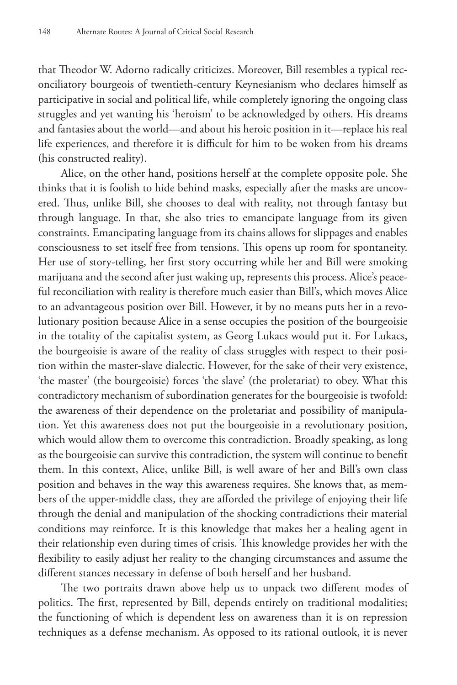that Theodor W. Adorno radically criticizes. Moreover, Bill resembles a typical reconciliatory bourgeois of twentieth-century Keynesianism who declares himself as participative in social and political life, while completely ignoring the ongoing class struggles and yet wanting his 'heroism' to be acknowledged by others. His dreams and fantasies about the world—and about his heroic position in it—replace his real life experiences, and therefore it is difficult for him to be woken from his dreams (his constructed reality).

Alice, on the other hand, positions herself at the complete opposite pole. She thinks that it is foolish to hide behind masks, especially after the masks are uncovered. Thus, unlike Bill, she chooses to deal with reality, not through fantasy but through language. In that, she also tries to emancipate language from its given constraints. Emancipating language from its chains allows for slippages and enables consciousness to set itself free from tensions. This opens up room for spontaneity. Her use of story-telling, her first story occurring while her and Bill were smoking marijuana and the second after just waking up, represents this process. Alice's peaceful reconciliation with reality is therefore much easier than Bill's, which moves Alice to an advantageous position over Bill. However, it by no means puts her in a revolutionary position because Alice in a sense occupies the position of the bourgeoisie in the totality of the capitalist system, as Georg Lukacs would put it. For Lukacs, the bourgeoisie is aware of the reality of class struggles with respect to their position within the master-slave dialectic. However, for the sake of their very existence, 'the master' (the bourgeoisie) forces 'the slave' (the proletariat) to obey. What this contradictory mechanism of subordination generates for the bourgeoisie is twofold: the awareness of their dependence on the proletariat and possibility of manipulation. Yet this awareness does not put the bourgeoisie in a revolutionary position, which would allow them to overcome this contradiction. Broadly speaking, as long as the bourgeoisie can survive this contradiction, the system will continue to benefit them. In this context, Alice, unlike Bill, is well aware of her and Bill's own class position and behaves in the way this awareness requires. She knows that, as members of the upper-middle class, they are afforded the privilege of enjoying their life through the denial and manipulation of the shocking contradictions their material conditions may reinforce. It is this knowledge that makes her a healing agent in their relationship even during times of crisis. This knowledge provides her with the flexibility to easily adjust her reality to the changing circumstances and assume the different stances necessary in defense of both herself and her husband.

The two portraits drawn above help us to unpack two different modes of politics. The first, represented by Bill, depends entirely on traditional modalities; the functioning of which is dependent less on awareness than it is on repression techniques as a defense mechanism. As opposed to its rational outlook, it is never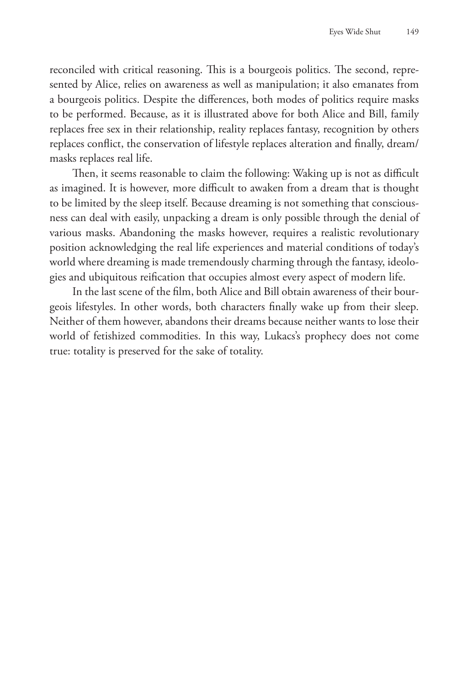reconciled with critical reasoning. This is a bourgeois politics. The second, represented by Alice, relies on awareness as well as manipulation; it also emanates from a bourgeois politics. Despite the differences, both modes of politics require masks to be performed. Because, as it is illustrated above for both Alice and Bill, family replaces free sex in their relationship, reality replaces fantasy, recognition by others replaces conflict, the conservation of lifestyle replaces alteration and finally, dream/ masks replaces real life.

Then, it seems reasonable to claim the following: Waking up is not as difficult as imagined. It is however, more difficult to awaken from a dream that is thought to be limited by the sleep itself. Because dreaming is not something that consciousness can deal with easily, unpacking a dream is only possible through the denial of various masks. Abandoning the masks however, requires a realistic revolutionary position acknowledging the real life experiences and material conditions of today's world where dreaming is made tremendously charming through the fantasy, ideologies and ubiquitous reification that occupies almost every aspect of modern life.

In the last scene of the film, both Alice and Bill obtain awareness of their bourgeois lifestyles. In other words, both characters finally wake up from their sleep. Neither of them however, abandons their dreams because neither wants to lose their world of fetishized commodities. In this way, Lukacs's prophecy does not come true: totality is preserved for the sake of totality.